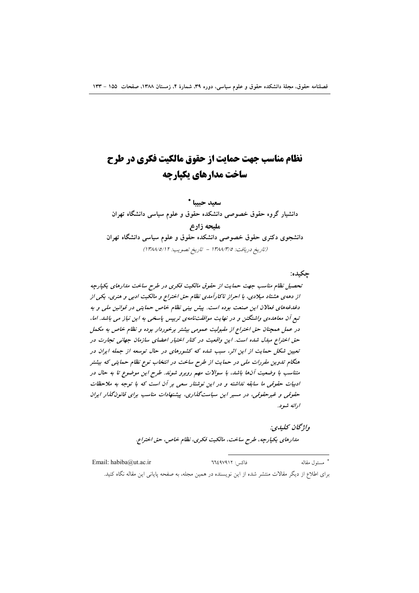# نظام مناسب جهت حمایت از حقوق مالکیت فکری در طرح ساخت مدارهای تکیارچه

سعيد حبيبا \* دانشیار گروه حقوق خصوصی دانشکده حقوق و علوم سیاسی دانشگاه تهران مليحه زارع دانشجوی دکتری حقوق خصوصی دانشکده حقوق و علوم سیاسی دانشگاه تهران (تاريخ دريافت: ١٣٨٨/٣/٥ - تاريخ تصويب: ١٣٨٨/٥/١٢)

# چکیده:

تحصیل نظام مناسب جهت حمایت از حقوق مالکیت فکری در طرح ساخت مدارهای یکپارچه از دههی هشتاد میلادی، با احراز ناکارآمدی نظام حق اختراع و مالکیت ادبی و هنری، یکی از دغدغههای فعالان این صنعت بوده است. پیش بینی نظام خاص حمایتی در قوانین ملی و به تبع آن معاهدهی واشنگتن و در نهایت موافقتنامهی ترییس پاسخی به این نیاز می باشد. اما، در عمل همچنان حق اختراع از مقبولیت عمومی بیشتر برخوردار بوده و نظام خاص به مکمل حق اختراع مبدل شده است. این واقعیت در کنار اختیار اعضای سازمان جهانی تجارت در تعیین شکل حمایت از این اثر، سبب شده که کشورهای در حال توسعه از جمله ایران در هنگام تدوین مقررات ملی در حمایت از طرح ساخت در انتخاب نوع نظام حمایتی که بیشتر متناسب با وضعیت آنها باشد، با سوالات مهم روبرو شوند. طرح این موضوع تا به حال در ادبیات حقوقی ما سابقه نداشته و در این نوشتار سعی بر آن است که با توجه به ملاحظات حقوقی و غیرحقوقی، در مسیر این سیاستگذاری، پیشنهادات مناسب برای قانونگذار ایران ادائه شه د.

## واژگان كىلىدى:

مدارهاي يكپارچه، طرح ساخت، مالكيت فكري، نظام خاص، حق اختراع.

\* مسئول مقاله Email: habiba@ut.ac.ir فاكس: ٦٦٤٩٧٩١٢ برای اطلاع از دیگر مقالات منتشر شده از این نویسنده در همین مجله، به صفحه پایانی این مقاله نگاه کنید.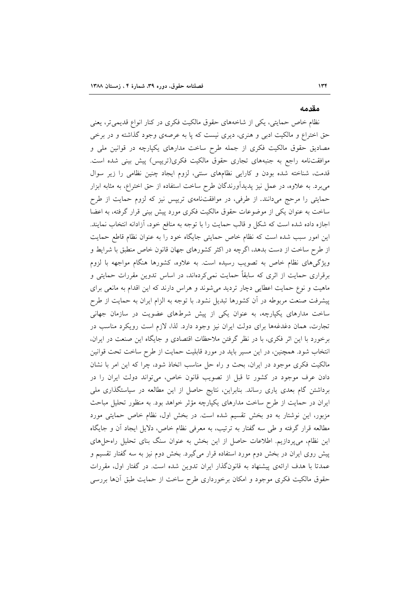#### مقدمه

نظام خاص حمایتی، یکی از شاخههای حقوق مالکیت فکری در کنار انواع قدیمی تر، یعنی حق اختراع و مالکیت ادبی و هنری، دیری نیست که پا به عرصهی وجود گذاشته و در برخی مصادیق حقوق مالکیت فکری از جمله طرح ساخت مدارهای یکپارچه در قوانین ملی و موافقتنامه راجع به جنبههای تجاری حقوق مالکیت فکری(تریپس) پیش بینی شده است. قدمت، شناخته شده بودن و كارايي نظامهاى سنتى، لزوم ايجاد چنين نظامى را زير سوال میبرد. به علاوه، در عمل نیز پدیدآورندگان طرح ساخت استفاده از حق اختراع، به مثابه ابزار حمایتی را مرحج میدانند. از طرفی، در موافقتنامهی تریپس نیز که لزوم حمایت از طرح ساخت به عنوان یکی از موضوعات حقوق مالکیت فکری مورد پیش بینی قرار گرفته، به اعضا اجازه داده شده است که شکل و قالب حمایت را با توجه به منافع خود، اَزادانه انتخاب نمایند. این امور سبب شده است که نظام خاص حمایتی جایگاه خود را به عنوان نظام قاطع حمایت از طرح ساخت از دست بدهد، اگرچه در اکثر کشورهای جهان قانون خاص منطبق با شرایط و ویژگیهای نظام خاص به تصویب رسیده است. به علاوه، کشورها هنگام مواجهه با لزوم برقراری حمایت از اثری که سابقاً حمایت نمی کردهاند، در اساس تدوین مقررات حمایتی و ماهیت و نوع حمایت اعطایی دچار تردید میشوند و هراس دارند که این اقدام به مانعی برای پیشرفت صنعت مربوطه در آن کشورها تبدیل نشود. با توجه به الزام ایران به حمایت از طرح ساخت مدارهای یکپارچه، به عنوان یکی از پیش شرطهای عضویت در سازمان جهانی تجارت، همان دغدغهها برای دولت ایران نیز وجود دارد. لذا، لازم است رویکرد مناسب در برخورد با این اثر فکری، با در نظر گرفتن ملاحظات اقتصادی و جایگاه این صنعت در ایران، انتخاب شود. همچنین، در این مسیر باید در مورد قابلیت حمایت از طرح ساخت تحت قوانین مالکیت فکری موجود در ایران، بحث و راه حل مناسب اتخاذ شود، چرا که این امر با نشان دادن عرف موجود در کشور تا قبل از تصویب قانون خاص، میتواند دولت ایران را در برداشتن گام بعدی یاری رساند. بنابراین، نتایج حاصل از این مطالعه در سیاستگذاری ملی ایران در حمایت از طرح ساخت مدارهای یکپارچه مؤثر خواهد بود. به منظور تحلیل مباحث مزبور، این نوشتار به دو بخش تقسیم شده است. در بخش اول، نظام خاص حمایتی مورد مطالعه قرار گرفته و طی سه گفتار به ترتیب، به معرفی نظام خاص، دلایل ایجاد آن و جایگاه این نظام، میپردازیم. اطلاعات حاصل از این بخش به عنوان سنگ بنای تحلیل راهحلههای پیش روی ایران در بخش دوم مورد استفاده قرار میگیرد. بخش دوم نیز به سه گفتار تقسیم و عمدتا با هدف ارائهی پیشنهاد به قانونگذار ایران تدوین شده است. در گفتار اول، مقررات حقوق مالکیت فکری موجود و امکان برخورداری طرح ساخت از حمایت طبق آنها بررسی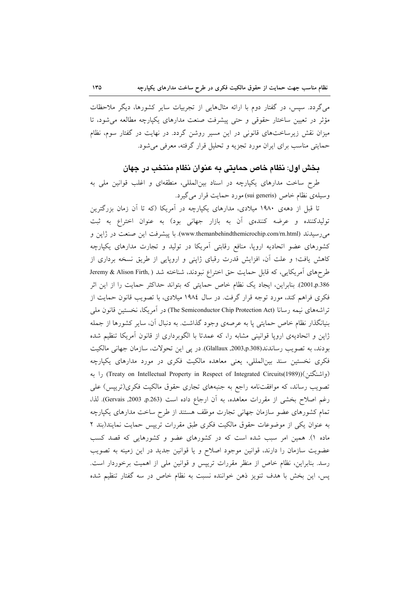میگردد. سپس، در گفتار دوم با ارائه مثالهایی از تجربیات سایر کشورها، دیگر ملاحظات مؤثر در تعیین ساختار حقوقی و حتی پیشرفت صنعت مدارهای یکپارچه مطالعه می شود، تا میزان نقش زیرساختهای قانونی در این مسیر روشن گردد. در نهایت در گفتار سوم، نظام حمایتی مناسب برای ایران مورد تجزیه و تحلیل قرار گرفته، معرفی می شود.

# بخش اول: نظام خاص حمايتي به عنوان نظام منتخب در جهان

طرح ساخت مدارهای یکپارچه در اسناد بینالمللی، منطقهای و اغلب قوانین ملی به وسیلهی نظام خاص (sui generis) مورد حمایت قرار می گیرد.

تا قبل از دههی ۱۹۸۰ میلادی، مدارهای یکپارچه در آمریکا (که تا آن زمان بزرگترین تولیدکننده و عرضه کنندهی آن به بازار جهانی بود) به عنوان اختراع به ثبت می رسیدند (www.themanbehindthemicrochip.com/rn.html). با پیشرفت این صنعت در ژاپن و کشورهای عضو اتحادیه اروپا، منافع رقابتی أمریکا در تولید و تجارت مدارهای یکپارچه کاهش یافت؛ و علت آن، افزایش قدرت رقبای ژاپنی و اروپایی از طریق نسخه برداری از طرحهای آمریکایی، که قابل حمایت حق اختراع نبودند، شناخته شد ( Jeremy & Alison Firth, 2001,p.386). بنابراین، ایجاد یک نظام خاص حمایتی که بتواند حداکثر حمایت را از این اثر فکری فراهم کند، مورد توجه قرار گرفت. در سال ۱۹۸٤ میلادی، با تصویب قانون حمایت از تراشههای نیمه رسانا (The Semiconductor Chip Protection Act) در آمریکا، نخستین قانون ملی بنیانگذار نظام خاص حمایتی پا به عرصهی وجود گذاشت. به دنبال آن، سایر کشورها از جمله ژاپن و اتحادیهی اروپا قوانینی مشابه را، که عمدتا با الگوبرداری از قانون آمریکا تنظیم شده بودند، به تصويب رساندند(2003,p.308, 3003,p). در پي اين تحولات، سازمان جهاني مالكيت فکری نخستین سند بینالمللی، یعنی معاهده مالکیت فکری در مورد مدارهای یکپارچه (واشنگتن)(Treaty on Intellectual Property in Respect of Integrated Circuits(1989)) را به تصویب رساند، که موافقتنامه راجع به جنبههای تجاری حقوق مالکیت فکری(تریپس) علی رغم اصلاح بخشى از مقررات معاهده، به أن ارجاع داده است (p.263, 2003, 3003). لذا، تمام کشورهای عضو سازمان جهانی تجارت موظف هستند از طرح ساخت مدارهای یکپارچه به عنوان یکی از موضوعات حقوق مالکیت فکری طبق مقررات تریپس حمایت نمایند(بند ۲ ماده ۱). همین امر سبب شده است که در کشورهای عضو و کشورهایی که قصد کسب عضویت سازمان را دارند، قوانین موجود اصلاح و یا قوانین جدید در این زمینه به تصویب رسد. بنابراین، نظام خاص از منظر مقررات تریپس و قوانین ملی از اهمیت برخوردار است. پس، این بخش با هدف تنویز ذهن خواننده نسبت به نظام خاص در سه گفتار تنظیم شده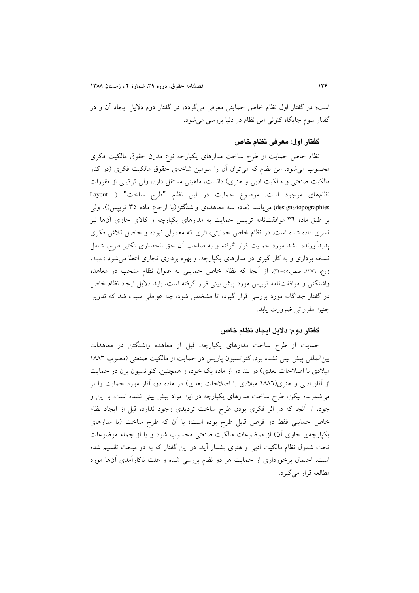است؛ در گفتار اول نظام خاص حمایتی معرفی میگردد، در گفتار دوم دلایل ایجاد آن و در گفتار سوم جايگاه كنوني اين نظام در دنيا بررسي مي شود.

# گفتار اول: معرفی نظام خاص

نظام خاص حمایت از طرح ساخت مدارهای یکپارچه نوع مدرن حقوق مالکیت فکری محسوب می شود. این نظام که می توان آن را سومین شاخهی حقوق مالکیت فکری (در کنار مالکیت صنعتی و مالکیت ادبی و هنری) دانست، ماهیتی مستقل دارد، ولی ترکیبی از مقررات نظامهای موجود است. موضوع حمایت در این نظام "طرح ساخت" ( -Layout designs/topographies) میباشد (ماده سه معاهدهی واشنگتن(با ارجاع ماده ۳۵ تریپس))، ولی بر طبق ماده ۳۹ موافقتنامه ترییس حمایت به مدارهای یکپارچه و کالای حاوی آنها نیز تسری داده شده است. در نظام خاص حمایتی، اثری که معمولی نبوده و حاصل تلاش فکری پدیدآورنده باشد مورد حمایت قرار گرفته و به صاحب آن حق انحصاری تکثیر طرح، شامل نسخه برداری و به کار گیری در مدارهای یکپارچه، و بهره برداری تجاری اعطا می شود (حبیبا و زارع، ١٣٨٦، صص.٥٥-٣٣. از آنجا كه نظام خاص حمايتى به عنوان نظام منتخب در معاهده واشنگتن و موافقتنامه تریپس مورد پیش بینی قرار گرفته است، باید دلایل ایجاد نظام خاص در گفتار جداگانه مورد بررسی قرار گیرد، تا مشخص شود، چه عواملی سبب شد که تدوین چنین مقرراتی ضرورت یابد.

# گفتار دوم: دلايل ايجاد نظام خاص

حمایت از طرح ساخت مدارهای یکپارچه، قبل از معاهده واشنگتن در معاهدات بینالمللی پیش بینی نشده بود. کنوانسیون پاریس در حمایت از مالکیت صنعتی (مصوب ۱۸۸۳ میلادی با اصلاحات بعدی) در بند دو از ماده یک خود، و همچنین، کنوانسیون برن در حمایت از آثار ادبی و هنری(۱۸۸٦ میلادی با اصلاحات بعدی) در ماده دو، آثار مورد حمایت را بر می شمرند؛ لیکن، طرح ساخت مدارهای یکپارچه در این مواد پیش بینی نشده است. با این و جود، از أنجا كه در اثر فكرى بودن طرح ساخت ترديدى وجود ندارد، قبل از ايجاد نظام خاص حمایتی فقط دو فرض قابل طرح بوده است؛ یا اَن که طرح ساخت (یا مدارهای یکپارچهی حاوی آن) از موضوعات مالکیت صنعتی محسوب شود و یا از جمله موضوعات تحت شمول نظام مالکیت ادبی و هنری بشمار آید. در این گفتار که به دو مبحث تقسیم شده است، احتمال برخورداری از حمایت هر دو نظام بررسی شده و علت ناکارآمدی آنها مورد مطالعه قرار مي گيرد.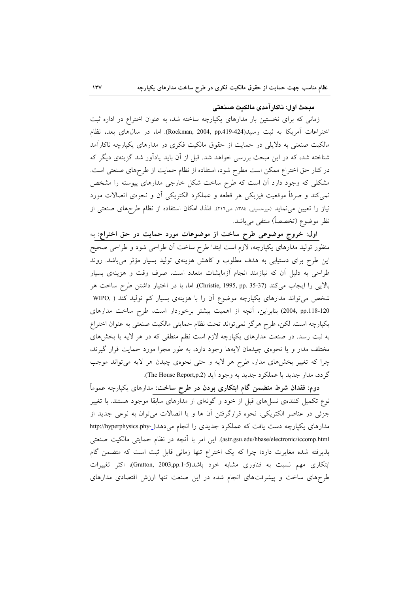## مبحث اول: ناكار آمدي مالكنت صنعتي

زمانی که برای نخستین بار مدارهای یکپارچه ساخته شد، به عنوان اختراع در اداره ثبت اختراعات آمریکا به ثبت رسید(Rockman, 2004, pp.419-424). اما، در سال0های بعد، نظام مالکیت صنعتی به دلایلی در حمایت از حقوق مالکیت فکری در مدارهای یکپارچه ناکارآمد شناخته شد، که در این مبحث بررسی خواهد شد. قبل از آن باید یادآور شد گزینهی دیگر که در کنار حق اختراع ممکن است مطرح شود، استفاده از نظام حمایت از طرحهای صنعتی است. مشکلی که وجود دارد آن است که طرح ساخت شکل خارجی مدارهای پیوسته را مشخص نمی کند و صرفاً موقعیت فیزیکی هر قطعه و عملکرد الکتریکی اّن و نحوهی اتصالات مورد نیاز را تعیین می نماید (میرحسینی، ۱۳۸٤، ص٢١٦). فلذا، امکان استفاده از نظام طرحهای صنعتی از نظر موضوع (تخصصاً) منتفى مى باشد.

اول: خروج موضوعی طرح ساخت از موضوعات مورد حمایت در حق اختراع: به منظور تولید مدارهای یکپارچه، لازم است ابتدا طرح ساخت آن طراحی شود و طراحی صحیح این طرح برای دستیابی به هدف مطلوب و کاهش هزینهی تولید بسیار مؤثر میباشد. روند طراحی به دلیل آن که نیازمند انجام آزمایشات متعدد است، صرف وقت و هزینهی بسیار بالايي را ايجاب مي كند (Christie, 1995, pp. 35-37). اما، با در اختيار داشتن طرح ساخت هر شخص میتواند مدارهای یکپارچه موضوع آن را با هزینهی بسیار کم تولید کند ( .WIPO 20-2018, pp.118) بنابراین، آنچه از اهمیت بیشتر برخوردار است، طرح ساخت مدارهای يكپارچه است. لكن، طرح هرگز نمي تواند تحت نظام حمايتي مالكيت صنعتي به عنوان اختراع به ثبت رسد. در صنعت مدارهای یکپارچه لازم است نظم منطقی که در هر لایه یا بخشهای مختلف مدار و یا نحوهی چیدمان لایهها وجود دارد، به طور مجزا مورد حمایت قرار گیرند، چرا که تغییر بخشهای مدار، طرح هر لایه و حتی نحوهی چیدن هر لایه میتواند موجب گردد، مدار جديد با عملكرد جديد به وجود آيد (The House Report,p.2).

دوم: فقدان شرط متضمن گام ابتکاری بودن در طرح ساخت: مدارهای یکپارچه عموماً نوع تکمیل کنندهی نسلهای قبل از خود و گونهای از مدارهای سابقا موجود هستند. با تغییر جزئی در عناصر الکتریکی، نحوه قرارگرفتن آن ها و یا اتصالات میتوان به نوعی جدید از مدارهای یکپارچه دست یافت که عملکرد جدیدی را انجام میدهد(\_-http://hyperphysics.phy astr.gsu.edu/hbase/electronic/iccomp.html). این امر با آنچه در نظام حمایتی مالکیت صنعتی پذیرفته شده مغایرت دارد؛ چرا که یک اختراع تنها زمانی قابل ثبت است که متضمن گام ابتکاری مهم نسبت به فناوری مشابه خود باشد(Gratton, 2003,pp.1-5)، اکثر تغییرات طرحهای ساخت و پیشرفتهای انجام شده در این صنعت تنها ارزش اقتصادی مدارهای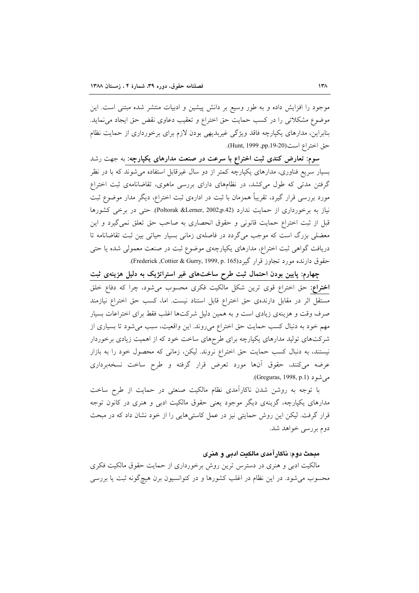موجود را افزایش داده و به طور وسیع بر دانش پیشین و ادبیات منتشر شده مبتنی است. این موضوع مشکلاتی را در کسب حمایت حق اختراع و تعقیب دعاوی نقض حق ایجاد می نماید. بنابراین، مدارهای یکپارچه فاقد ویژگی غیربدیهی بودن لازم برای برخورداری از حمایت نظام حق اختراع است(20-19-91, Hunt, 1999).

سوم: تعارض کندی ثبت اختراع با سرعت در صنعت مدارهای یکپارچه: به جهت رشد بسیار سریع فناوری، مدارهای یکپارچه کمتر از دو سال غیرقابل استفاده می شوند که با در نظر گرفتن مدتی که طول میکشد، در نظامهای دارای بررسی ماهوی، تقاضانامهی ثبت اختراع مورد بررسی قرار گیرد، تقریباً همزمان با ثبت در ادارهی ثبت اختراع، دیگر مدار موضوع ثبت نیاز به برخورداری از حمایت ندارد (Poltorak &Lerner, 2002,p.42). حتی در برخی کشورها قبل از ثبت اختراع حمایت قانونی و حقوق انحصاری به صاحب حق تعلق نمی گیرد و این معضلی بزرگ است که موجب میگردد در فاصلهی زمانی بسیار حیاتی بین ثبت تقاضانامه تا دریافت گواهی ثبت اختراع، مدارهای یکپارچهی موضوع ثبت در صنعت معمولی شده یا حتی حقوق دارنده مورد تجاوز قرار گیرد(Frederick ,Cottier & Gurry, 1999, p. 165).

چهارم: پایین بودن احتمال ثبت طرح ساختهای غیر استراتژیک به دلیل هزینهی ثبت اختراع: حق اختراع قوى ترين شكل مالكيت فكرى محسوب مى شود، چرا كه دفاع خلق مستقل اثر در مقابل دارندهی حق اختراع قابل استناد نیست. اما، کسب حق اختراع نیازمند صرف وقت و هزینهی زیادی است و به همین دلیل شرکتها اغلب فقط برای اختراعات بسیار مهم خود به دنبال کسب حمایت حق اختراع میروند. این واقعیت، سبب میشود تا بسیاری از شرکتهای تولید مدارهای یکپارچه برای طرحهای ساخت خود که از اهمیت زیادی برخوردار نیستند، به دنبال کسب حمایت حق اختراع نروند. لیکن، زمانی که محصول خود را به بازار عرضه میکنند، حقوق آنها مورد تعرض قرار گرفته و طرح ساخت نسخهبرداری مي شو د (Greguras, 1998, p.1).

با توجه به روشن شدن ناكارآمدي نظام مالكيت صنعتي در حمايت از طرح ساخت مدارهای یکپارچه، گزینهی دیگر موجود یعنی حقوق مالکیت ادبی و هنری در کانون توجه قرار گرفت. لیکن این روش حمایتی نیز در عمل کاستیهایی را از خود نشان داد که در مبحث دوم بررسی خواهد شد.

# مبحث دوم: ناكار آمدي مالكنت ادبي و هنري

مالکیت ادبی و هنری در دسترس ترین روش برخورداری از حمایت حقوق مالکیت فکری محسوب می شود. در این نظام در اغلب کشورها و در کنوانسیون برن هیچگونه ثبت یا بررسی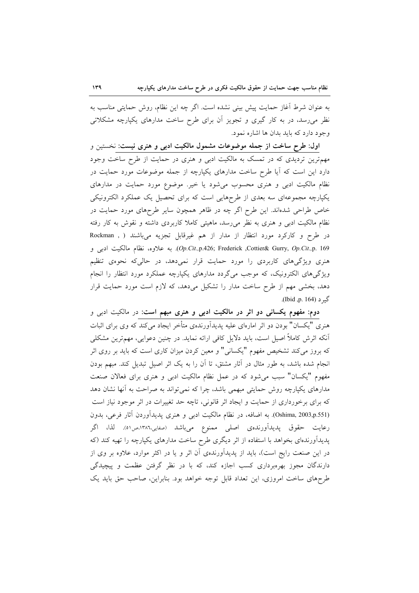به عنوان شرط آغاز حمایت پیش بینی نشده است. اگر چه این نظام، روش حمایتی مناسب به نظر می رسد، در به کار گیری و تجویز آن برای طرح ساخت مدارهای یکپارچه مشکلاتی وجود دارد که باید بدان ها اشاره نمود.

اول: طرح ساخت از جمله موضوعات مشمول مالکیت ادبی و هنری نیست: نخستین و مهمترین تردیدی که در تمسک به مالکیت ادبی و هنری در حمایت از طرح ساخت وجود دارد این است که آیا طرح ساخت مدارهای یکپارچه از جمله موضوعات مورد حمایت در نظام مالکیت ادبی و هنری محسوب می شود یا خیر. موضوع مورد حمایت در مدارهای یکپارچه مجموعهای سه بعدی از طرحهایی است که برای تحصیل یک عملکرد الکترونیکی خاص طراحی شدهاند. این طرح اگر چه در ظاهر همچون سایر طرحهای مورد حمایت در نظام مالکیت ادبی و هنری به نظر می٫رسد، ماهیتی کاملا کاربردی داشته و نقوش به کار رفته در طرح و کارکرد مورد انتظار از مدار از هم غیرقابل تجزیه میباشند ( , Rockman Op.Cit.,p.426; Frederick ,Cottier& Gurry, Op.Cit.,p. 169). به علاوه، نظام مالكيت ادبى و هنری ویژگیهای کاربردی را مورد حمایت قرار نمیدهد، در حالی که نحوهی تنظیم ویژگیهای الکترونیک، که موجب میگردد مدارهای یکپارچه عملکرد مورد انتظار را انجام دهد، بخشی مهم از طرح ساخت مدار را تشکیل میدهد، که لازم است مورد حمایت قرار گير د (164 .p. 164).

**دوم: مفهوم یکسانی دو اثر در مالکیت ادبی و هنری مبهم است:** در مالکیت ادبی و هنری "یکسان" بودن دو اثر امارهای علیه پدیدآورندهی متأخر ایجاد میکند که وی برای اثبات اّنکه اثرش کاملاً اصیل است، باید دلایل کافی ارائه نماید. در چنین دعوایی، مهمترین مشکلی که بروز میکند تشخیص مفهوم "یکسانی" و معین کردن میزان کاری است که باید بر روی اثر انجام شده باشد، به طور مثال در آثار مشتق، تا آن را به یک اثر اصیل تبدیل کند. مبهم بودن مفهوم "يكسان" سبب مى شود كه در عمل نظام مالكيت ادبى و هنرى براى فعالان صنعت مدارهای یکپارچه روش حمایتی مبهمی باشد، چرا که نمی تواند به صراحت به آنها نشان دهد که برای برخورداری از حمایت و ایجاد اثر قانونی، تاچه حد تغییرات در اثر موجود نیاز است (Oshima, 2003,p.551). به اضافه، در نظام مالکیت ادبی و هنری پدیدآوردن آثار فرعی، بدون رعايت حقوق يديدآورندهي اصلي ممنوع ميiشد (صفايي،١٣٨٦هـ. لذا، اگر پدیدآورندهای بخواهد با استفاده از اثر دیگری طرح ساخت مدارهای یکپارچه را تهیه کند (که در این صنعت رایج است)، باید از پدیدآورندهی آن اثر و یا در اکثر موارد، علاوه بر وی از دارندگان مجوز بهرهبرداری کسب اجازه کند، که با در نظر گرفتن عظمت و پیچیدگی طرحهای ساخت امروزی، این تعداد قابل توجه خواهد بود. بنابراین، صاحب حق باید یک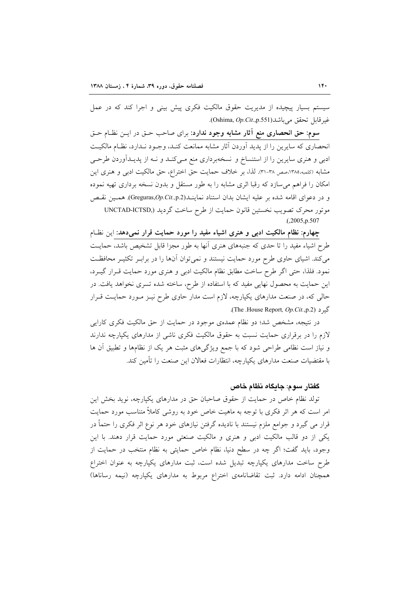سیستم بسیار پیچیده از مدیریت حقوق مالکیت فکری پیش بینی و اجرا کند که در عمل . غير قابل تحقق مي باشد (Oshima, Op.Cit.,p.551).

**سوم: حق انحصاری منع أثار مشابه وجود ندارد**: برای صاحب حــق در ایــن نظــام حــق انحصاری که سایرین را از پدید آوردن آثار مشابه ممانعت کنـد، وجـود نـدارد، نظـام مالکیـت ادبی و هنری سایرین را از استنساخ و نسخهبرداری منع مـیکنـد و نـه از پدیـدآوردن طرحـی مشابه (کلمبه،۱۳۸۵،صص ۳۸-۳۱). لذا، بر خلاف حمایت حق اختراع، حق مالکیت ادبی و هنری این امکان را فراهم می سازد که رقبا اثری مشابه را به طور مستقل و بدون نسخه برداری تهیه نموده و در دعواي اقامه شده بر عليه ايشان بدان استناد نماينـــاـ(Greguras,Op.Cit.,p.2). همـين نقبص موتور محرک تصویب نخستین قانون حمایت از طرح ساخت گردید (,UNCTAD-ICTSD  $(0.2005, p.507)$ 

چهارم: نظام مالکیت ادبی و هنری اشیاء مفید را مورد حمایت قرار نمیدهد: این نظـام طرح اشیاء مفید را تا حدی که جنبههای هنری آنها به طور مجزا قابل تشخیص باشد، حمایت می کند. اشیای حاوی طرح مورد حمایت نیستند و نمی توان آنها را در برابـر تکثیـر محافظـت نمود. فلذا، حتى اگر طرح ساخت مطابق نظام مالكيت ادبى و هنرى مورد حمايت قـرار گيــرد، این حمایت به محصول نهایی مفید که با استفاده از طرح، ساخته شده تسری نخواهد یافت. در حالی که، در صنعت مدارهای یکپارچه، لازم است مدار حاوی طرح نیـز مـورد حمایـت قـرار گیر د (The .House Report, Op.Cit.,p.2).

در نتیجه، مشخص شد؛ دو نظام عمدهی موجود در حمایت از حق مالکیت فکری کارایی لازم را در برقراری حمایت نسبت به حقوق مالکیت فکری ناشی از مدارهای یکپارچه ندارند و نیاز است نظامی طراحی شود که با جمع ویژگیهای مثبت هر یک از نظامها و تطبیق آن ها با مقتضيات صنعت مدارهاي يكيارچه، انتظارات فعالان اين صنعت را تأمين كند.

# گفتار سوم: جايگاه نظام خاص

تولد نظام خاص در حمایت از حقوق صاحبان حق در مدارهای یکپارچه، نوید بخش این امر است که هر اثر فکری با توجه به ماهیت خاص خود به روشی کاملاً متناسب مورد حمایت قرار می گیرد و جوامع ملزم نیستند با نادیده گرفتن نیازهای خود هر نوع اثر فکری را حتماً در یکی از دو قالب مالکیت ادبی و هنری و مالکیت صنعتی مورد حمایت قرار دهند. با این وجود، بايد گفت؛ اگر چه در سطح دنيا، نظام خاص حمايتي به نظام منتخب در حمايت از طرح ساخت مدارهای یکپارچه تبدیل شده است، ثبت مدارهای یکپارچه به عنوان اختراع همچنان ادامه دارد. ثبت تقاضانامهی اختراع مربوط به مدارهای یکپارچه (نیمه رساناها)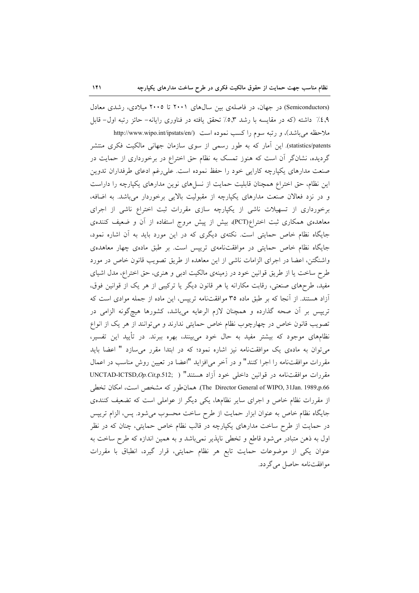(Semiconductors) در جهان، در فاصلهی بین سالهای ۲۰۰۱ تا ۲۰۰۵ میلادی، رشدی معادل ٠٤,٩٪ داشته (كه در مقايسه با رشد ٥٫٣٪ تحقق يافته در فناوري رايانه- حائز رتبه اول- قابل ملاحظه می باشد)، و رتبه سوم را کسب نموده است (http://www.wipo.int/ipstats/en statistics/patents). این آمار که به طور رسمی از سوی سازمان جهانی مالکیت فکری منتشر گردیده، نشانگر آن است که هنوز تمسک به نظام حق اختراع در برخورداری از حمایت در صنعت مدارهای یکپارچه کارایی خود را حفظ نموده است. علی رغم ادعای طرفداران تدوین این نظام، حق اختراع همچنان قابلیت حمایت از نسلهای نوین مدارهای یکپارچه را داراست و در نزد فعالان صنعت مدارهای یکپارچه از مقبولیت بالایی برخوردار می باشد. به اضافه، برخورداری از تسهیلات ناشی از یکپارچه سازی مقررات ثبت اختراع ناشی از اجرای معاهدهی همکاری ثبت اختراع(PCT)، بیش از پیش مروج استفاده از آن و ضعیف کنندهی جایگاه نظام خاص حمایتی است. نکتهی دیگری که در این مورد باید به آن اشاره نمود، جایگاه نظام خاص حمایتی در موافقتنامهی تریپس است. بر طبق مادهی چهار معاهدهی واشنگتن، اعضا در اجرای الزامات ناشی از این معاهده از طریق تصویب قانون خاص در مورد طرح ساخت یا از طریق قوانین خود در زمینهی مالکیت ادبی و هنری، حق اختراع، مدل اشیای مفید، طرحهای صنعتی، رقابت مکارانه یا هر قانون دیگر یا ترکیبی از هر یک از قوانین فوق، آزاد هستند. از آنجا که بر طبق ماده ۳۵ موافقتنامه ترییس، این ماده از جمله موادی است که تریپس بر أن صحه گذارده و همچنان لازم الرعایه میباشد، کشورها هیچگونه الزامی در تصویب قانون خاص در چهارچوب نظام خاص حمایتی ندارند و میتوانند از هر یک از انواع نظامهای موجود که بیشتر مفید به حال خود میبینند، بهره ببرند. در تأیید این تفسیر، می توان به مادهی یک موافقتنامه نیز اشاره نمود؛ که در ابتدا مقرر می سازد " اعضا باید مقررات موافقتنامه را اجرا كنند" و در آخر مىافزايد "اعضا در تعيين روش مناسب در اعمال مقررات موافقتنامه در قوانين داخلي خود آزاد هستند" ( ,UNCTAD-ICTSD,Op.Cit,p.512 The Director General of WIPO, 31Jan. 1989,p.66). همان طور كه مشخص است، امكان تخطى از مقررات نظام خاص و اجرای سایر نظامها، یکی دیگر از عواملی است که تضعیف کنندهی جايگاه نظام خاص به عنوان ابزار حمايت از طرح ساخت محسوب مي شود. پس، الزام تريپس در حمایت از طرح ساخت مدارهای یکپارچه در قالب نظام خاص حمایتی، چنان که در نظر اول به ذهن متبادر میشود قاطع و تخطی ناپذیر نمیباشد و به همین اندازه که طرح ساخت به عنوان یکی از موضوعات حمایت تابع هر نظام حمایتی، قرار گیرد، انطباق با مقررات موافقتنامه حاصل مي گردد.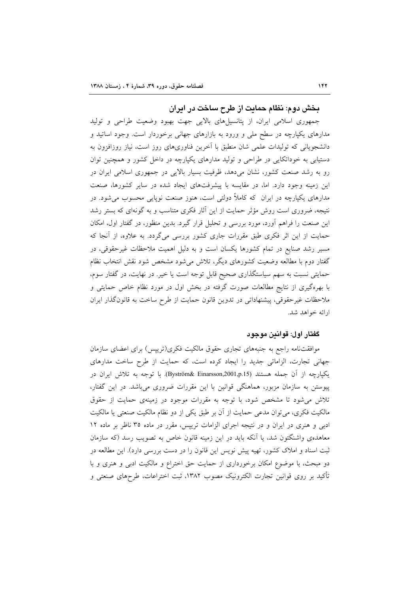# بخش دوم: نظام حمایت از طرح ساخت در ایران

جمهوری اسلامی ایران، از پتانسپلهای بالایی جهت بهبود وضعیت طراحی و تولید مدارهای یکپارچه در سطح ملی و ورود به بازارهای جهانی برخوردار است. وجود اساتید و دانشجویانی که تولیدات علمی شان منطبق با آخرین فناوریهای روز است، نیاز روزافزون به دستیابی به خوداتکایی در طراحی و تولید مدارهای یکپارچه در داخل کشور و همچنین توان رو به رشد صنعت کشور، نشان میدهد، ظرفیت بسیار بالایی در جمهوری اسلامی ایران در این زمینه وجود دارد. اما، در مقایسه با پیشرفتهای ایجاد شده در سایر کشورها، صنعت مدارهای یکپارچه در ایران که کاملاً دولتی است، هنوز صنعت نوپایی محسوب می شود. در نتیجه، ضروری است روش مؤثر حمایت از این آثار فکری متناسب و به گونهای که بستر رشد این صنعت را فراهم أورد، مورد بررسی و تحلیل قرار گیرد. بدین منظور، در گفتار اول، امکان حمایت از این اثر فکری طبق مقررات جاری کشور بررسی میگردد. به علاوه، از آنجا که مسیر رشد صنایع در تمام کشورها یکسان است و به دلیل اهمیت ملاحظات غیرحقوقی، در گفتار دوم با مطالعه وضعیت کشورهای دیگر، تلاش میشود مشخص شود نقش انتخاب نظام حمایتی نسبت به سهم سیاستگذاری صحیح قابل توجه است یا خیر. در نهایت، در گفتار سوم، با بهرهگیری از نتایج مطالعات صورت گرفته در بخش اول در مورد نظام خاص حمایتی و ملاحظات غیر حقوقی، پیشنهاداتی در تدوین قانون حمایت از طرح ساخت به قانون گذار ایران ارائه خواهد شد.

# گفتار اول: قوانين موجود

موافقتنامه راجع به جنبههای تجاری حقوق مالکیت فکری(تریپس) برای اعضای سازمان جهانی تجارت، الزاماتی جدید را ایجاد کرده است، که حمایت از طرح ساخت مدارهای يكيارچه از آن جمله هستند (Byström& Einarsson,2001,p.15). با توجه به تلاش ايران در پیوستن به سازمان مزبور، هماهنگی قوانین با این مقررات ضروری میباشد. در این گفتار، تلاش می شود تا مشخص شود، با توجه به مقررات موجود در زمینهی حمایت از حقوق مالکیت فکری، می توان مدعی حمایت از آن بر طبق یکی از دو نظام مالکیت صنعتی یا مالکیت ادبی و هنری در ایران و در نتیجه اجرای الزامات تریپس، مقرر در ماده ۳۵ ناظر بر ماده ۱۲ معاهدهی واشنگتون شد، یا آنکه باید در این زمینه قانون خاص به تصویب رسد (که سازمان ثبت اسناد و املاک کشور، تهیه پیش نویس این قانون را در دست بررسی دارد). این مطالعه در دو مبحث، با موضوع امکان برخورداری از حمایت حق اختراع و مالکیت ادبی و هنری و با تأكيد بر روى قوانين تجارت الكترونيك مصوب ١٣٨٢، ثبت اختراعات، طرحهاي صنعتي و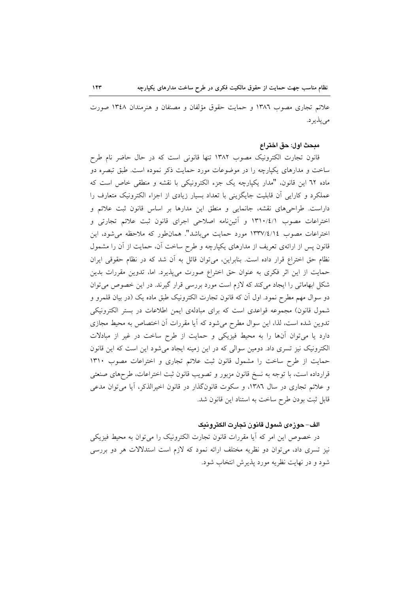علائم تجاری مصوب ۱۳۸٦ و حمایت حقوق مؤلفان و مصنفان و هنرمندان ۱۳٤۸ صورت می پذیر د.

#### مبحث اول: حق اختراع

قانون تجارت الکترونیک مصوب ۱۳۸۲ تنها قانونی است که در حال حاضر نام طرح ساخت و مدارهای یکپارچه را در موضوعات مورد حمایت ذکر نموده است. طبق تبصره دو ماده ٦٢ اين قانون، "مدار يكيارچه يك جزء الكترونيكي با نقشه و منطقى خاص است كه عملکرد و کارایی اَن قابلیت جایگزینی با تعداد بسیار زیادی از اجزاء الکترونیک متعارف را داراست. طراحیهای نقشه، جانمایی و منطق این مدارها بر اساس قانون ثبت علائم و اختراعات مصوب ۱۳۱۰/٤/۱ و آئینiامه اصلاحی اجرای قانون ثبت علائم تجارتی و اختراعات مصوب ١٣٣٧/٤/١٤ مورد حمايت مي باشد". همان طور كه ملاحظه مي شود، اين قانون پس از ارائهی تعریف از مدارهای یکپارچه و طرح ساخت آن، حمایت از آن را مشمول نظام حق اختراع قرار داده است. بنابراین، می توان قائل به آن شد که در نظام حقوقی ایران حمایت از این اثر فکری به عنوان حق اختراع صورت میپذیرد. اما، تدوین مقررات بدین شکل ابهاماتی را ایجاد میکند که لازم است مورد بررسی قرار گیرند. در این خصوص میتوان دو سوال مهم مطرح نمود. اول اَن که قانون تجارت الکترونیک طبق ماده یک (در بیان قلمرو و شمول قانون) مجموعه قواعدی است که برای مبادلهی ایمن اطلاعات در بستر الکترونیکی تدوین شده است، لذا، این سوال مطرح میشود که آیا مقررات آن اختصاص به محیط مجازی دارد یا میتوان آنها را به محیط فیزیکی و حمایت از طرح ساخت در غیر از مبادلات الکترونیک نیز تسری داد. دومین سوالی که در این زمینه ایجاد میشود این است که این قانون حمایت از طرح ساخت را مشمول قانون ثبت علائم تجاری و اختراعات مصوب ١٣١٠ قرارداده است، با توجه به نسخ قانون مزبور و تصویب قانون ثبت اختراعات، طرحهای صنعتی و علائم تجاری در سال ۱۳۸٦، و سکوت قانونگذار در قانون اخیرالذکر، آیا میتوان مدعی قابل ثبت بودن طرح ساخت به استناد این قانون شد.

#### الف– حوزهى شمول قانون تجارت الكترونيك

در خصوص این امر که اَیا مقررات قانون تجارت الکترونیک را می توان به محیط فیزیکی نیز تسری داد، میتوان دو نظریه مختلف ارائه نمود که لازم است استدلالات هر دو بررسی شود و در نهایت نظریه مورد پذیرش انتخاب شود.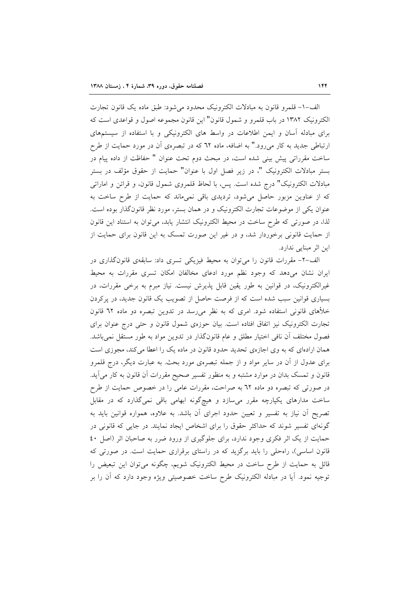الف-١- قلمرو قانون به مبادلات الكترونيك محدود مي شود: طبق ماده يك قانون تجارت الكترونيك ١٣٨٢ در باب قلمرو و شمول قانون" اين قانون مجموعه اصول و قواعدي است كه برای مبادله آسان و ایمن اطلاعات در واسط های الکترونیکی و با استفاده از سیستمهای ارتباطی جدید به کار میرود." به اضافه، ماده ٦٢ که در تبصرهی آن در مورد حمایت از طرح ساخت مقرراتی پیش بینی شده است، در مبحث دوم تحت عنوان " حفاظت از داده پیام در بستر مبادلات الكترونيك "، در زير فصل اول با عنوان" حمايت از حقوق مؤلف در بستر مبادلات الكترونيك" درج شده است. پس، با لحاظ قلمروى شمول قانون، و قرائن و اماراتى که از عناوین مزبور حاصل می شود، تردیدی باقی نمی ماند که حمایت از طرح ساخت به عنوان یکی از موضوعات تجارت الکترونیک و در همان بستر، مورد نظر قانونگذار بوده است. لذا، در صورتی که طرح ساخت در محیط الکترونیک انتشار یابد، می توان به استناد این قانون از حمایت قانونی برخوردار شد، و در غیر این صورت تمسک به این قانون برای حمایت از این اثر مبنایی ندارد.

الف-٢- مقررات قانون را می توان به محیط فیزیکی تسری داد: سابقهی قانونگذاری در ایران نشان میدهد که وجود نظم مورد ادعای مخالفان امکان تسری مقررات به محیط غیرالکترونیک، در قوانین به طور یقین قابل پذیرش نیست. نیاز مبرم به برخمی مقررات، در بسیاری قوانین سبب شده است که از فرصت حاصل از تصویب یک قانون جدید، در پرکردن خلأهای قانونی استفاده شود. امری که به نظر میرسد در تدوین تبصره دو ماده ٦٢ قانون تجارت الکترونیک نیز اتفاق افتاده است. بیان حوزهی شمول قانون و حتی درج عنوان برای فصول مختلف أن نافي اختيار مطلق و عام قانونگذار در تدوين مواد به طور مستقل نمي باشد. همان ارادهای که به وی اجازهی تحدید حدود قانون در ماده یک را اعطا میکند، مجوزی است برای عدول از آن در سایر مواد و از جمله تبصرهی مورد بحث. به عبارت دیگر، درج قلمرو قانون و تمسک بدان در موارد مشتبه و به منظور تفسیر صحیح مقررات آن قانون به کار می آید. در صورتی که تبصره دو ماده ٦٢ به صراحت، مقررات عامی را در خصوص حمایت از طرح ساخت مدارهای یکپارچه مقرر میسازد و هیچگونه ابهامی باقی نمیگذارد که در مقابل تصریح آن نیاز به تفسیر و تعیین حدود اجرای آن باشد. به علاوه، همواره قوانین باید به گونهای تفسیر شوند که حداکثر حقوق را برای اشخاص ایجاد نمایند. در جایی که قانونی در حمایت از یک اثر فکری وجود ندارد، برای جلوگیری از ورود ضرر به صاحبان اثر (اصل ٤٠ قانون اساسی)، راهحلی را باید برگزید که در راستای برقراری حمایت است. در صورتی که قائل به حمایت از طرح ساخت در محیط الکترونیک شویم، چگونه می توان این تبعیض را توجیه نمود. آیا در مبادله الکترونیک طرح ساخت خصوصیتی ویژه وجود دارد که آن را بر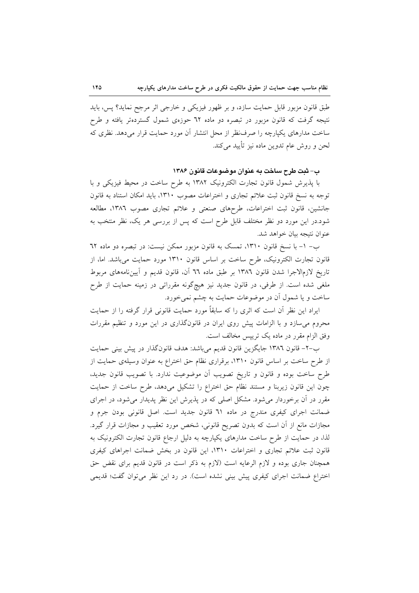طبق قانون مزبور قابل حمايت سازد، و بر ظهور فيزيكي و خارجي اثر مرجح نمايد؟ پس، بايد نتیجه گرفت که قانون مزبور در تبصره دو ماده ٦٢ حوزهی شمول گستردهتر یافته و طرح ساخت مدارهای یکپارچه را صرفنظر از محل انتشار أن مورد حمایت قرار میدهد. نظری که لحن و روش عام تدوين ماده نيز تأييد ميكند.

ب- ثبت طرح ساخت به عنوان موضوعات قانون ۱۳۸۶

با پذیرش شمول قانون تجارت الکترونیک ۱۳۸۲ به طرح ساخت در محیط فیزیکی و با توجه به نسخ قانون ثبت علائم تجارى و اختراعات مصوب ١٣١٠، بايد امكان استناد به قانون جانشین، قانون ثبت اختراعات، طرحهای صنعتی و علائم تجاری مصوب ۱۳۸٦، مطالعه شود.در این مورد دو نظر مختلف قابل طرح است که پس از بررسی هر یک، نظر منتخب به عنوان نتيجه بيان خواهد شد.

ب- ١- با نسخ قانون ١٣١٠، تمسک به قانون مزبور ممکن نیست: در تبصره دو ماده ٦٢ قانون تجارت الكترونيك، طرح ساخت بر اساس قانون ١٣١٠ مورد حمايت مى باشد. اما، از تاريخ لازمالاجرا شدن قانون ١٣٨٦ بر طبق ماده ٦٦ آن، قانون قديم و آيين نامههاى مربوط ملغی شده است. از طرفی، در قانون جدید نیز هیچگونه مقرراتی در زمینه حمایت از طرح ساخت و یا شمول آن در موضوعات حمایت به چشم نمی خورد.

ایراد این نظر آن است که اثری را که سابقاً مورد حمایت قانونی قرار گرفته را از حمایت محروم میسازد و با الزامات پیش روی ایران در قانونگذاری در این مورد و تنظیم مقررات وفق الزام مقرر در ماده یک تریپس مخالف است.

ب-٢- قانون ١٣٨٦ جايگزين قانون قديم مي باشد: هدف قانون گذار در پيش بيني حمايت از طرح ساخت بر اساس قانون ١٣١٠، برقراري نظام حق اختراع به عنوان وسيلهي حمايت از طرح ساخت بوده و قانون و تاریخ تصویب آن موضوعیت ندارد. با تصویب قانون جدید، چون این قانون زیربنا و مستند نظام حق اختراع را تشکیل میدهد، طرح ساخت از حمایت مقرر در آن برخوردار میشود. مشکل اصلی که در پذیرش این نظر پدیدار می شود، در اجرای ضمانت اجرای کیفری مندرج در ماده ٦١ قانون جدید است. اصل قانونی بودن جرم و مجازات مانع از أن است که بدون تصریح قانونی، شخص مورد تعقیب و مجازات قرار گیرد. لذا، در حمایت از طرح ساخت مدارهای یکپارچه به دلیل ارجاع قانون تجارت الکترونیک به قانون ثبت علائم تجاري و اختراعات ١٣١٠، اين قانون در بخش ضمانت اجراهاي كيفري همچنان جاری بوده و لازم الرعایه است (لازم به ذکر است در قانون قدیم برای نقض حق اختراع ضمانت اجرای کیفری پیش بینی نشده است). در رد این نظر می توان گفت؛ قدیمی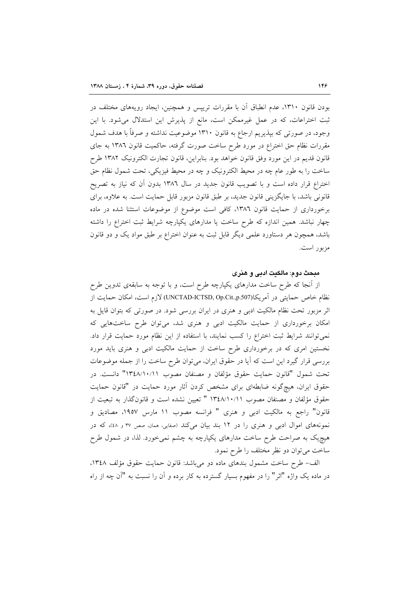بودن قانون ۱۳۱۰، عدم انطباق آن با مقررات ترییس و همچنین، ایجاد رویههای مختلف در ثبت اختراعات، كه در عمل غيرممكن است، مانع از پذيرش اين استدلال مي شود. با اين وجود، در صورتی که بپذیریم ارجاع به قانون ۱۳۱۰ موضوعیت نداشته و صرفاً با هدف شمول مقررات نظام حق اختراع در مورد طرح ساخت صورت گرفته، حاکمیت قانون ۱۳۸۲ به جای قانون قديم در اين مورد وفق قانون خواهد بود. بنابراين، قانون تجارت الكترونيك ١٣٨٢ طرح ساخت را به طور عام چه در محیط الکترونیک و چه در محیط فیزیکی، تحت شمول نظام حق اختراع قرار داده است و با تصویب قانون جدید در سال ۱۳۸۲ بدون آن که نیاز به تصریح قانونی باشد، با جایگزینی قانون جدید، بر طبق قانون مزبور قابل حمایت است. به علاوه، برای برخورداری از حمایت قانون ١٣٨٦، كافی است موضوع از موضوعات استثنا شده در ماده چهار نباشد. همین اندازه که طرح ساخت یا مدارهای یکپارچه شرایط ثبت اختراع را داشته باشد، همچون هر دستاورد علمی دیگر قابل ثبت به عنوان اختراع بر طبق مواد یک و دو قانون مزبور است.

# مبحث دوم: مالكيت ادبي و هنري

از آنجا که طرح ساخت مدارهای یکپارچه طرح است، و با توجه به سابقهی تدوین طرح نظام خاص حمايتي در آمريكا(UNCTAD-ICTSD, Op.Cit.,p.507) لازم است، امكان حمايت از اثر مزبور تحت نظام مالکیت ادبی و هنری در ایران بررسی شود. در صورتی که بتوان قایل به امکان برخورداری از حمایت مالکیت ادبی و هنری شد، می توان طرح ساختهایی که نمي توانند شرايط ثبت اختراع را كسب نمايند، با استفاده از اين نظام مورد حمايت قرار داد. نخستین امری که در برخورداری طرح ساخت از حمایت مالکیت ادبی و هنری باید مورد بررسی قرار گیرد این است که آیا در حقوق ایران، می توان طرح ساخت را از جمله موضوعات تحت شمول "قانون حمايت حقوق مؤلفان و مصنفان مصوب ١٣٤٨/١٠/١١" دانست. در حقوق ایران، هیچگونه ضابطهای برای مشخص کردن آثار مورد حمایت در "قانون حمایت حقوق مؤلفان و مصنفان مصوب ١٣٤٨/١٠/١١ " تعيين نشده است و قانونگذار به تبعيت از قانون" راجع به مالكيت ادبي و هنري " فرانسه مصوب ١١ مارس ١٩٥٧، مصاديق و نمونههای اموال ادبی و هنری را در ١٢ بند بیان میکند (صفایی، ممان، صص ٣٧ و ٤٨)، که در هیچیک به صراحت طرح ساخت مدارهای یکپارچه به چشم نمیخورد. لذا، در شمول طرح ساخت مي توان دو نظر مختلف را طرح نمود.

الف- طرح ساخت مشمول بندهاى ماده دو مى باشد: قانون حمايت حقوق مؤلف ١٣٤٨، در ماده یک واژه "اثر" را در مفهوم بسیار گسترده به کار برده و آن را نسبت به "آن چه از راه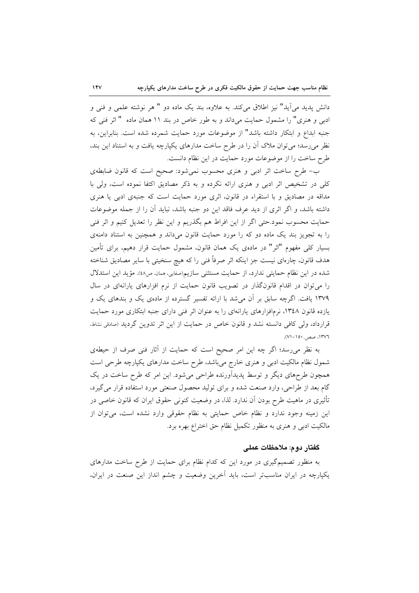دانش پدید می آید" نیز اطلاق میکند. به علاوه، بند یک ماده دو " هر نوشته علمی و فنی و ادبی و هنری" را مشمول حمایت میداند و به طور خاص در بند ۱۱ همان ماده " اثر فنی که جنبه ابداع و ابتکار داشته باشد" از موضوعات مورد حمایت شمرده شده است. بنابراین، به نظر می رسد؛ می توان ملاک آن را در طرح ساخت مدارهای یکپارچه یافت و به استناد این بند، طرح ساخت را از موضوعات مورد حمایت در این نظام دانست.

ب- طرح ساخت اثر ادبی و هنری محسوب نمیشود: صحیح است که قانون ضابطهی کلی در تشخیص اثر ادبی و هنری ارائه نکرده و به ذکر مصادیق اکتفا نموده است، ولی با مداقه در مصادیق و با استقراء در قانون، اثری مورد حمایت است که جنبهی ادبی یا هنری داشته باشد، و اگر اثری از دید عرف فاقد این دو جنبه باشد، نباید آن را از جمله موضوعات حمایت محسوب نمود.حتی اگر از این افراط هم بگذریم و این نظر را تعدیل کنیم و اثر فنی را به تجویز بند یک ماده دو که را مورد حمایت قانون میداند و همچنین به استناد دامنهی بسیار کلّی مفهوم "اثر" در مادهی یک همان قانون، مشمول حمایت قرار دهیم، برای تأمین هدف قانون، چارەاي نيست جز اينكه اثر صرفاً فني را كه هيچ سنخيتي با ساير مصاديق شناخته شده در این نظام حمایتی ندارد، از حمایت مستثنی سازیم(صفایی، ممان، ص٤٨). مؤید این استدلال را میتوان در اقدام قانونگذار در تصویب قانون حمایت از نرم افزارهای یارانهای در سال ۱۳۷۹ یافت. اگرچه سابق بر آن می شد با ارائه تفسیر گسترده از مادهی یک و بندهای یک و یازده قانون ۱۳٤۸، نرمافزارهای یارانهای را به عنوان اثر فنی دارای جنبه ابتکاری مورد حمایت قرارداد، ولی کافی دانسته نشد و قانون خاص در حمایت از این اثر تدوین گردید (صادقی نشاط، ۰۱۳۷٦، صص.۱۵۰–۷۱).

به نظر میرسد؛ اگر چه این امر صحیح است که حمایت از آثار فنی صرف از حیطهی شمول نظام مالکیت ادبی و هنری خارج میباشد، طرح ساخت مدارهای یکپارچه طرحی است همچون طرحهای دیگر و توسط پدیدآورنده طراحی میشود. این امر که طرح ساخت در یک گام بعد از طراحی، وارد صنعت شده و برای تولید محصول صنعتی مورد استفاده قرار می گیرد، تأثیری در ماهیت طرح بودن آن ندارد. لذا، در وضعیت کنونی حقوق ایران که قانون خاصی در این زمینه وجود ندارد و نظام خاص حمایتی به نظام حقوقی وارد نشده است، می توان از مالکیت ادبی و هنری به منظور تکمیل نظام حق اختراع بهره برد.

# گفتار دوم: ملاحظات عملی

به منظور تصمیمگیری در مورد این که کدام نظام برای حمایت از طرح ساخت مدارهای یکپارچه در ایران مناسبتر است، باید آخرین وضعیت و چشم انداز این صنعت در ایران،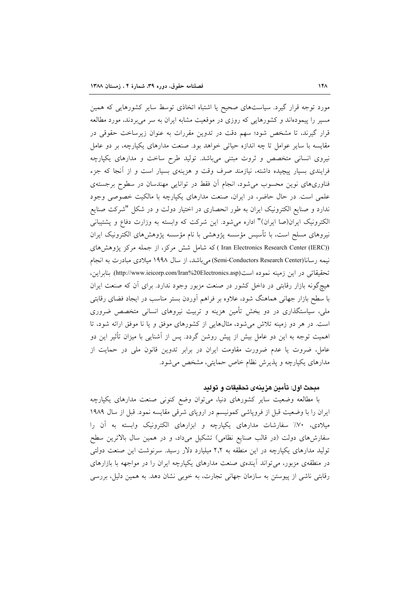مورد توجه قرار گیرد. سیاستهای صحیح یا اشتباه اتخاذی توسط سایر کشورهایی که همین مسیر را پیمودهاند و کشورهایی که روزی در موقعیت مشابه ایران به سر میبردند، مورد مطالعه قرار گیرند، تا مشخص شود؛ سهم دقت در تدوین مقررات به عنوان زیرساخت حقوقی در مقایسه با سایر عوامل تا چه اندازه حیاتی خواهد بود. صنعت مدارهای یکپارچه، بر دو عامل نیروی انسانی متخصص و ثروت مبتنی میباشد. تولید طرح ساخت و مدارهای یکپارچه فرایندی بسیار پیچیده داشته، نیازمند صرف وقت و هزینهی بسیار است و از آنجا که جزء فناوریهای نوین محسوب می شود، انجام آن فقط در توانایی مهندسان در سطوح برجستهی علمی است. در حال حاضر، در ایران، صنعت مدارهای یکپارچه با مالکیت خصوصی وجود ندارد و صنایع الکترونیک ایران به طور انحصاری در اختیار دولت و در شکل "شرکت صنایع الكترونيك ايران(صا ايران)" اداره مي شود. اين شركت كه وابسته به وزارت دفاع و يشتيباني نیروهای مسلح است، با تأسیس مؤسسه یژوهشی با نام مؤسسه یژوهشهای الکترونیک ایران (Iran Electronics Research Center (IERC)) که شامل شش مرکز، از جمله مرکز پژوهشهای نیمه رسانا(Semi-Conductors Research Center) می باشد، از سال ۱۹۹۸ میلادی مبادرت به انجام تحقيقاتي در اين زمينه نموده است(http://www.ieicorp.com/Iran%20Electronics.asp). بنابراين، هیچگونه بازار رقابتی در داخل کشور در صنعت مزبور وجود ندارد. برای آن که صنعت ایران با سطح بازار جهانی هماهنگ شود، علاوه بر فراهم آوردن بستر مناسب در ایجاد فضای رقابتی ملی، سیاستگذاری در دو بخش تأمین هزینه و تربیت نیروهای انسانی متخصص ضروری است. در هر دو زمینه تلاش می شود، مثالهایی از کشورهای موفق و یا نا موفق ارائه شود، تا اهمیت توجه به این دو عامل بیش از پیش روشن گردد. پس از آشنایی با میزان تأثیر این دو عامل، ضروت یا عدم ضرورت مقاومت ایران در برابر تدوین قانون ملی در حمایت از مدارهای یکپارچه و پذیرش نظام خاص حمایتی، مشخص می شود.

## مبحث اول: تأمين هزينهى تحقيقات و توليد

با مطالعه وضعیت سایر کشورهای دنیا، میتوان وضع کنونی صنعت مدارهای یکپارچه ایران را با وضعیت قبل از فروپاشی کمونیسم در اروپای شرقی مقایسه نمود. قبل از سال ۱۹۸۹ میلادی، ۷۰٪ سفارشات مدارهای یکپارچه و ابزارهای الکترونیک وابسته به آن را سفارشهای دولت (در قالب صنایع نظامی) تشکیل میداد، و در همین سال بالاترین سطح تولید مدارهای یکپارچه در این منطقه به ۲٫۲ میلیارد دلار رسید. سرنوشت این صنعت دولتی در منطقهی مزبور، می تواند آیندهی صنعت مدارهای یکپارچه ایران را در مواجهه با بازارهای رقابتی ناشی از پیوستن به سازمان جهانی تجارت، به خوبی نشان دهد. به همین دلیل، بررسی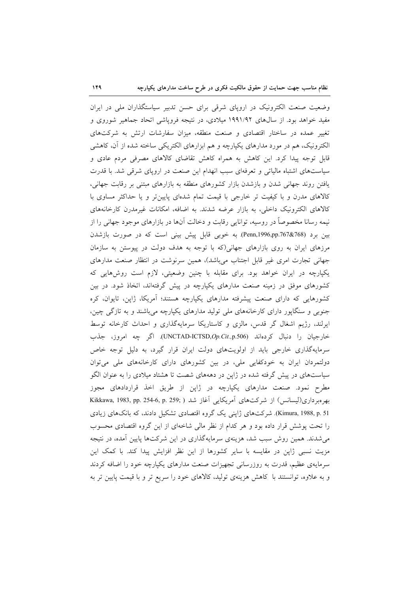وضعیت صنعت الکترونیک در اروپای شرقی برای حسن تدبیر سیاستگذاران ملی در ایران مفید خواهد بود. از سال۵ای ۱۹۹۱/۹۲ میلادی، در نتیجه فرویاشی اتحاد جماهیر شوروی و تغییر عمده در ساختار اقتصادی و صنعت منطقه، میزان سفارشات ارتش به شرکتهای الکترونیک، هم در مورد مدارهای یکپارچه و هم ابزارهای الکتریکی ساخته شده از آن، کاهشی قابل توجه پیدا کرد. این کاهش به همراه کاهش تقاضای کالاهای مصرفی مردم عادی و سیاستهای اشتباه مالیاتی و تعرفهای سبب انهدام این صنعت در اروپای شرقی شد. با قدرت یافتن روند جهانی شدن و بازشدن بازار کشورهای منطقه به بازارهای مبتنی بر رقابت جهانی، کالاهای مدرن و با کیفیت تر خارجی با قیمت تمام شدهای پایینتر و یا حداکثر مساوی با کالاهای الکترونیک داخلی، به بازار عرضه شدند. به اضافه، امکانات غیرمدرن کارخانههای نیمه رسانا مخصوصاً در روسیه، توانایی رقابت و دخالت آنها در بازارهای موجود جهانی را از بین برد (Penn,1996,pp.767&768). به خوبی قابل پیش بینی است که در صورت بازشدن مرزهای ایران به روی بازارهای جهانی(که با توجه به هدف دولت در پیوستن به سازمان جهانی تجارت امری غیر قابل اجتناب میباشد)، همین سرنوشت در انتظار صنعت مدارهای یکپارچه در ایران خواهد بود. برای مقابله با چنین وضعیتی، لازم است روش هایی که کشورهای موفق در زمینه صنعت مدارهای یکپارچه در پیش گرفتهاند، اتخاذ شود. در بین کشورهایی که دارای صنعت پیشرفته مدارهای یکپارچه هستند؛ آمریکا، ژاپن، تایوان، کره جنوبی و سنگاپور دارای کارخانههای ملی تولید مدارهای یکپارچه میباشند و به تازگی چین، ایرلند، رژیم اشغال گر قدس، مالزی و کاستاریکا سرمایهگذاری و احداث کارخانه توسط خارجيان را دنبال كردهاند (UNCTAD-ICTSD,Op.Cit.,p.506). اگر چه امروز، جذب سرمایهگذاری خارجی باید از اولویتهای دولت ایران قرار گیرد، به دلیل توجه خاص دولتمردان ایران به خودکفایی ملی، در بین کشورهای دارای کارخانههای ملی می توان سیاستهای در پیش گرفته شده در ژاپن در دهههای شصت تا هشتاد میلادی را به عنوان الگو مطرح نمود. صنعت مدارهای یکپارچه در ژاپن از طریق اخذ قراردادهای مجوز بهرهبرداري(ليسانس) از شركتهاي آمريكايي آغاز شد ( ;Kikkawa, 1983, pp. 254-6, p. 259 Kimura, 1988, p. 51). شرکتهای ژاپنی یک گروه اقتصادی تشکیل دادند، که بانکهای زیادی را تحت پوشش قرار داده بود و هر كدام از نظر مالی شاخهای از این گروه اقتصادی محسوب میشدند. همین روش سبب شد، هزینهی سرمایهگذاری در این شرکتها پایین آمده، در نتیجه مزیت نسبی ژاپن در مقایسه با سایر کشورها از این نظر افزایش پیدا کند. با کمک این سرمایهی عظیم، قدرت به روزرسانی تجهیزات صنعت مدارهای یکپارچه خود را اضافه کردند و به علاوه، توانستند با کاهش هزینهی تولید، کالاهای خود را سریع تر و با قیمت پایین تر به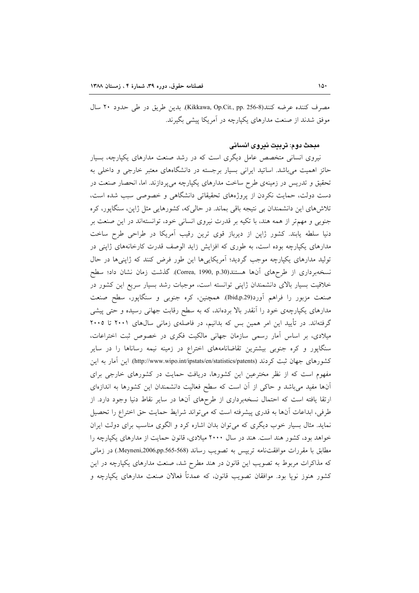مصرف كننده عرضه كنند(Kikkawa, Op.Cit., pp. 256-8). بدين طريق در طي حدود ٢٠ سال موفق شدند از صنعت مدارهای یکپارچه در آمریکا پیشی بگیرند.

## مبحث دوم: تربيت نيروي انساني

نیروی انسانی متخصص عامل دیگری است که در رشد صنعت مدارهای یکپارچه، بسیار حائز اهمیت می باشد. اساتید ایرانی بسیار برجسته در دانشگاههای معتبر خارجی و داخلی به تحقیق و تدریس در زمینهی طرح ساخت مدارهای یکپارچه میپردازند. اما، انحصار صنعت در دست دولت، حمایت نکردن از پروژههای تحقیقاتی دانشگاهی و خصوصی سبب شده است، تلاشهای این دانشمندان بی نتیجه باقی بماند. در حالیکه، کشورهایی مثل ژاپن، سنگاپور، کره جنوبی و مهمتر از همه هند، با تکیه بر قدرت نیروی انسانی خود، توانستهاند در این صنعت بر دنیا سلطه یابند. کشور ژاپن از دیرباز قوی ترین رقیب آمریکا در طراحی طرح ساخت مدارهای یکپارچه بوده است، به طوری که افزایش زاید الوصف قدرت کارخانههای ژاپنی در تولید مدارهای یکپارچه موجب گردید؛ آمریکاییها این طور فرض کنند که ژاپنیها در حال نسخهبرداري از طرحهاي آنها هستند(Correa, 1990, p.30). گذشت زمان نشان داد؛ سطح خلاقیت بسیار بالای دانشمندان ژاپنی توانسته است، موجبات رشد بسیار سریع این کشور در صنعت مزبور را فراهم آورد(Ibid,p.29). همچنین، کره جنوبی و سنگاپور، سطح صنعت مدارهای یکپارچهی خود را اَنقدر بالا بردهاند، که به سطح رقابت جهانی رسیده و حتبی پیشی گرفتهاند. در تأیید این امر همین بس که بدانیم، در فاصلهی زمانی سال@ای ۲۰۰۱ تا ۲۰۰۵ میلادی، بر اساس اَمار رسمی سازمان جهانی مالکیت فکری در خصوص ثبت اختراعات، سنگاپور و کره جنوبی بیشترین تقاضانامههای اختراع در زمینه نیمه رساناها را در سایر كشورهاى جهان ثبت كردند (http://www.wipo.int/ipstats/en/statistics/patents) اين آمار به اين مفهوم است که از نظر مخترعین این کشورها، دریافت حمایت در کشورهای خارجی برای آنها مفید میباشد و حاکی از آن است که سطح فعالیت دانشمندان این کشورها به اندازهای ارتقا یافته است که احتمال نسخهبرداری از طرحهای آنها در سایر نقاط دنیا وجود دارد. از طرفي، ابداعات أنها به قدري پيشرفته است كه مي تواند شرايط حمايت حق اختراع را تحصيل نماید. مثال بسیار خوب دیگری که میتوان بدان اشاره کرد و الگوی مناسب برای دولت ایران خواهد بود، کشور هند است. هند در سال ۲۰۰۰ میلادی، قانون حمایت از مدارهای یکپارچه را مطابق با مقررات موافقتنامه ترييس به تصويب رساند (Meyneni,2006,pp.565-568.) در زماني که مذاکرات مربوط به تصویب این قانون در هند مطرح شد، صنعت مدارهای یکپارچه در این کشور هنوز نویا بود. موافقان تصویب قانون، که عمدتاً فعالان صنعت مدارهای یکپارچه و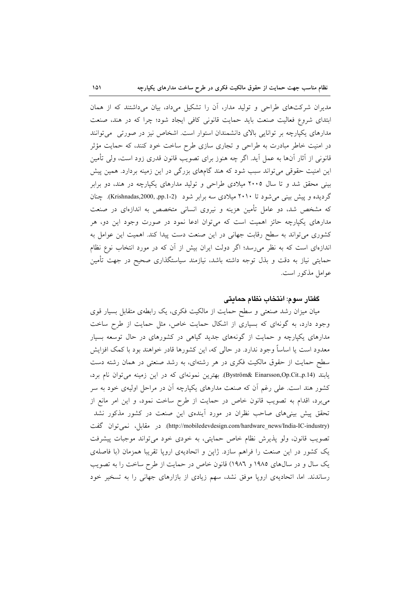مدیران شرکتهای طراحی و تولید مدار، آن را تشکیل میداد، بیان میداشتند که از همان ابتدای شروع فعالیت صنعت باید حمایت قانونی کافی ایجاد شود؛ چرا که در هند، صنعت مدارهای یکپارچه بر توانایی بالای دانشمندان استوار است. اشخاص نیز در صورتی ً میتوانند در امنیت خاطر مبادرت به طراحی و تجاری سازی طرح ساخت خود کنند، که حمایت مؤثر قانونی از آثار آنها به عمل آید. اگر چه هنوز برای تصویب قانون قدری زود است، ولی تأمین این امنیت حقوقی می تواند سبب شود که هند گامهای بزرگی در این زمینه بردارد. همین پیش بینی محقق شد و تا سال ۲۰۰۵ میلادی طراحی و تولید مدارهای یکپارچه در هند، دو برابر گردیده و پیش بینی می شود تا ۲۰۱۰ میلادی سه برابر شود (Krishnadas,2000, .pp.1-2). چنان که مشخص شد، دو عامل تأمین هزینه و نیروی انسانی متخصص به اندازهای در صنعت مدارهای یکپارچه حائز اهمیت است که میتوان ادعا نمود در صورت وجود این دو، هر کشوری می تواند به سطح رقابت جهانی در این صنعت دست پیدا کند. اهمیت این عوامل به اندازهای است که به نظر می رسد؛ اگر دولت ایران بیش از آن که در مورد انتخاب نوع نظام حمایتی نیاز به دقت و بذل توجه داشته باشد، نیازمند سیاستگذاری صحیح در جهت تأمین عوامل مذكور است.

# گفتار سوم: انتخاب نظام حمايتي

میان میزان رشد صنعتی و سطح حمایت از مالکیت فکری، یک رابطهی متقابل بسیار قوی وجود دارد، به گونهای که بسیاری از اشکال حمایت خاص، مثل حمایت از طرح ساخت مدارهای یکپارچه و حمایت از گونههای جدید گیاهی در کشورهای در حال توسعه بسیار معدود است یا اساساً وجود ندارد. در حالی که، این کشورها قادر خواهند بود با کمک افزایش سطح حمایت از حقوق مالکیت فکری در هر رشتهای، به رشد صنعتی در همان رشته دست یابند (Byström& Einarsson,Op.Cit.,p.14). بهترین نمونهای که در این زمینه می توان نام برد، کشور هند است. علی رغم اَن که صنعت مدارهای یکپارچه اَن در مراحل اولیهی خود به سر میبرد، اقدام به تصویب قانون خاص در حمایت از طرح ساخت نمود، و این امر مانع از تحقق پیش بینیهای صاحب نظران در مورد آیندهی این صنعت در کشور مذکور نشد (http://mobiledevdesign.com/hardware\_news/India-IC-industry). در مقابل، نمیتوان گفت تصویب قانون، ولو پذیرش نظام خاص حمایتی، به خودی خود می تواند موجبات پیشرفت یک کشور در این صنعت را فراهم سازد. ژاپن و اتحادیهی اروپا تقریبا همزمان (با فاصلهی یک سال و در سالهای ۱۹۸۵ و ۱۹۸٦) قانون خاص در حمایت از طرح ساخت را به تصویب رساندند. اما، اتحادیهی اروپا موفق نشد، سهم زیادی از بازارهای جهانی را به تسخیر خود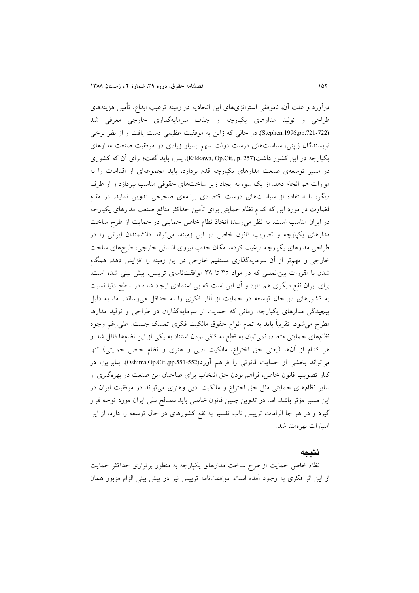درآورد و علت آن، ناموفقی استراتژیهای این اتحادیه در زمینه ترغیب ابداع، تأمین هزینههای طراحي و توليد مدارهاي يكيارچه و جذب سرمايهگذاري خارجي معرفي شد (Stephen,1996,pp.721-722) در حالي كه ژاپن به موفقيت عظيمي دست يافت و از نظر برخي نویسندگان ژاپنی، سیاستهای درست دولت سهم بسیار زیادی در موفقیت صنعت مدارهای یکپارچه در این کشور داشت(Kikkawa, Op.Cit., p. 257). پس، باید گفت؛ برای آن که کشوری در مسیر توسعهی صنعت مدارهای یکپارچه قدم بردارد، باید مجموعهای از اقدامات را به موازات هم انجام دهد. از یک سو، به ایجاد زیر ساختهای حقوقی مناسب بیردازد و از طرف دیگر، با استفاده از سیاستهای درست اقتصادی برنامهی صحیحی تدوین نماید. در مقام قضاوت در مورد این که کدام نظام حمایتی برای تأمین حداکثر منافع صنعت مدارهای یکپارچه در ایران مناسب است، به نظر می رسد؛ اتخاذ نظام خاص حمایتی در حمایت از طرح ساخت مدارهای یکپارچه و تصویب قانون خاص در این زمینه، می تواند دانشمندان ایرانی را در طراحی مدارهای یکپارچه ترغیب کرده، امکان جذب نیروی انسانی خارجی، طرحهای ساخت خارجی و مهم تر از آن سرمایهگذاری مستقیم خارجی در این زمینه را افزایش دهد. همگام شدن با مقررات بینالمللی که در مواد ۳۵ تا ۳۸ موافقتنامهی تریپس، پیش بینی شده است، برای ایران نفع دیگری هم دارد و آن این است که بی اعتمادی ایجاد شده در سطح دنیا نسبت به کشورهای در حال توسعه در حمایت از آثار فکری را به حداقل می رساند. اما، به دلیل پیچیدگی مدارهای یکپارچه، زمانی که حمایت از سرمایهگذاران در طراحی و تولید مدارها مطرح میشود، تقریباً باید به تمام انواع حقوق مالکیت فکری تمسک جست. علیرغم وجود نظامهای حمایتی متعدد، نمی توان به قطع به کافی بودن استناد به یکی از این نظامها قائل شد و هر كدام از أنها (يعني حق اختراع، مالكيت ادبي و هنري و نظام خاص حمايتي) تنها می تواند بخشی از حمایت قانونی را فراهم آورد(Oshima,Op.Cit.,pp.551-552). بنابراین، در کنار تصویب قانون خاص، فراهم بودن حق انتخاب برای صاحبان این صنعت در بهرهگیری از سایر نظامهای حمایتی مثل حق اختراع و مالکیت ادبی وهنری میتواند در موفقیت ایران در این مسیر مؤثر باشد. اما، در تدوین چنین قانون خاصی باید مصالح ملی ایران مورد توجه قرار گیرد و در هر جا الزامات ترییس تاب تفسیر به نفع کشورهای در حال توسعه را دارد، از این امتیازات بهر ممند شد.

#### نتىحە

نظام خاص حمایت از طرح ساخت مدارهای یکپارچه به منظور برقراری حداکثر حمایت از این اثر فکری به وجود آمده است. موافقتنامه تریپس نیز در پیش بینی الزام مزبور همان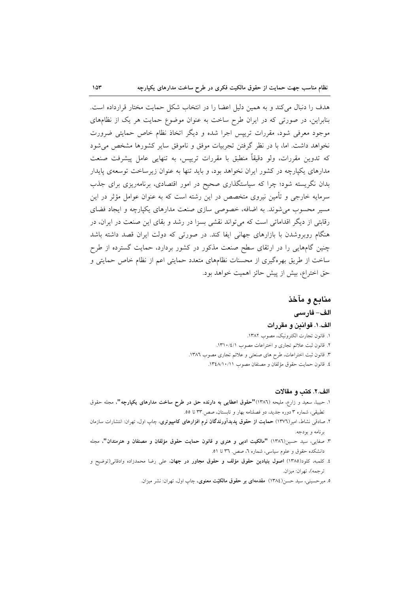هدف را دنبال می کند و به همین دلیل اعضا را در انتخاب شکل حمایت مختار قرارداده است. بنابراین، در صورتی که در ایران طرح ساخت به عنوان موضوع حمایت هر یک از نظامهای موجود معرفی شود، مقررات تریپس اجرا شده و دیگر اتخاذ نظام خاص حمایتی ضرورت نخواهد داشت. اما، با در نظر گرفتن تجربیات موفق و ناموفق سایر کشورها مشخص می شود که تدوین مقررات، ولو دقیقاً منطبق با مقررات ترییس، به تنهایی عامل پیشرفت صنعت مدارهای یکپارچه در کشور ایران نخواهد بود، و باید تنها به عنوان زیرساخت توسعهی پایدار بدان نگریسته شود؛ چرا که سیاستگذاری صحیح در امور اقتصادی، برنامهریزی برای جذب سرمایه خارجی و تأمین نیروی متخصص در این رشته است که به عنوان عوامل مؤثر در این مسیر محسوب می شوند. به اضافه، خصوصی سازی صنعت مدارهای یکپارچه و ایجاد فضای رقابتی از دیگر اقداماتی است که می تواند نقشی بسزا در رشد و بقای این صنعت در ایران، در هنگام روبروشدن با بازارهای جهانی ایفا کند. در صورتی که دولت ایران قصد داشته باشد چنین گامهایی را در ارتقای سطح صنعت مذکور در کشور بردارد، حمایت گسترده از طرح ساخت از طریق بهرهگیری از محسنات نظامهای متعدد حمایتی اعم از نظام خاص حمایتی و حق اختراع، بيش از پيش حائز اهميت خواهد بود.

# منابع و مآخذ

## الف- فارسى

#### الف. ١. قواندن و مقررات

- ١. قانون تجارت الكترونيك، مصوب ١٣٨٢.
- ۲. قانون ثبت علائم تجارى و اختراعات مصوب ١٣١٠/٤/١.
- ۳. قانون ثبت اختراعات، طرح های صنعتی و علائم تجاری مصوب ۱۳۸٦.
	- ٤. قانون حمايت حقوق مؤلفان و مصنفان مصوب ١٣٤٨/١٠/١١.

# الف.٢. كتب و مقالات

- ١. حبيبا، سعيد و زارع، مليحه (١٣٨٦)"حقوق اعطايي به دارنده حق در طرح ساخت مدارهاي يكپارچه"، مجله حقوق تطبیقی، شماره ۳ دوره جدید، دو فصلنامه بهار و تابستان، صص ۳۳ تا ٥٥.
- ۲. صادقی نشاط، امیر(۱۳۷٦) حم**ایت از حقوق پدیدآورندگان نرم افزارهای کامپیوتری**، چاپ اول، تهران: انتشارات سازمان برنامه و بودجه.
- ٣. صفايي، سيد حسين(١٣٨٦) "مالكيت ادبى و هنرى و قانون حمايت حقوق مؤلفان و مصنفان و هنرمندان"، مجله دانشکده حقوق و علوم سیاسی، شماره ٦، صص. ٣٦ تا ٥١.
- ٤. كلمبه، كلود(١٣٨٥) اصول بنيادين حقوق مؤلف و حقوق مجاور در جهان، على رضا محمدزاده وادقانى(توضيح و تر جمه)، تهران: ميزان.
	- ۵. میرحسینی، سید حسن(۱۳۸٤) مقدمهای بر حقوق مالکیّت معنوی، چاپ اول، تهران: نشر میزان.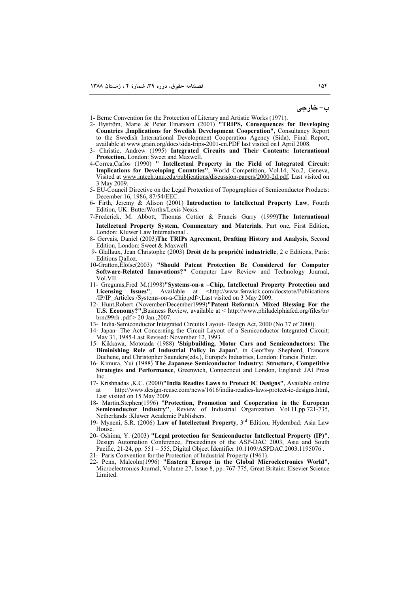ب- خارجي

- 
- 1- Berne Convention for the Protection of Literary and Artistic Works (1971).<br>2- Byström, Marie & Peter Einarsson (2001) **"TRIPS, Consequences for Developing Countries ,Implications for Swedish Development Cooperation", Consultancy Report**<br>to the Swedish International Development Cooperation Agency (Sida), Final Report, available at www.grain.org/docs/sida-trips-2001-en.PDF last visited on1 April 2008.
- 3- Christie, Andrew (1995) Integrated Circuits and Their Contents: International Protection, London: Sweet and Maxwell.
- 4-Correa, Carlos (1990) " Intellectual Property in the Field of Integrated Circuit: Implications for Developing Countries", World Competition, Vol.14, No.2, Geneva,<br>Visited at www.intech.unu.edu/publications/discussion-papers/2000-2d.pdf, Last visited on 3 May 2009.
- 5- EU-Council Directive on the Legal Protection of Topographies of Semiconductor Products: December 16, 1986, 87/54/EEC.
- 6- Firth, Jeremy & Alison (2001) Introduction to Intellectual Property Law, Fourth Edition, UK: ButterWorths/Lexis Nexis.
- 7-Frederick, M. Abbott, Thomas Cottier & Francis Gurry (1999)The International Intellectual Property System, Commentary and Materials. Part one. First Edition. London: Kluwer Law International
- 8- Gervais, Daniel (2003)The TRIPs Agreement, Drafting History and Analysis, Second Edition, London: Sweet & Maxwell.
- 9- Glallaux, Jean Christophe (2003) Droit de la propriété industrielle, 2 e Editions, Paris: **Editions Dalloz**
- 10-Gratton, Éloïse(2003) "Should Patent Protection Be Considered for Computer Software-Related Innovations?" Computer Law Review and Technology Journal, Vol.VII.
- 11- Greguras.Fred M.(1998)"Systems-on-a -Chip, Intellectual Property Protection and Licensing Issues", Available at <http://www.fenwick.com/docstore/Publications /IP/IP Articles /Systems-on-a-Chip.pdf>,Last visited on 3 May 2009.
- 12- Hunt, Robert (November/December1999)"Patent Reform:A Mixed Blessing For the U.S. Economy?", Business Review, available at < http://www.philadelphiafed.org/files/br/ brnd99rh.pdf > 20 Jan., 2007.
- 13- India-Semiconductor Integrated Circuits Layout- Design Act, 2000 (No.37 of 2000).
- 14- Japan- The Act Concerning the Circuit Layout of a Semiconductor Integrated Circuit: May 31, 1985-Last Revised: November 12, 1993
- 15- Kikkawa, Mototada (1988) 'Shipbuilding, Motor Cars and Semiconductors: The Diminishing Role of Industrial Policy in Japan', in Geoffrey Shepherd, Francois Duchene, and Christopher Saunders(eds.), Europe's Industries, London: Francis Pinter.
- 16- Kimura, Yui (1988) The Japanese Semiconductor Industry: Structure, Competitive Strategies and Performance, Greenwich, Connecticut and London, England: JAI Press **Inc.**
- 17- Krishnadas , K.C. (2000)"India Readies Laws to Protect IC Designs", Available online http://www.design-reuse.com/news/1616/india-readies-laws-protect-ic-designs.html, at Last visited on 15 May 2009.
- 18- Martin, Stephen (1996) "Protection, Promotion and Cooperation in the European Semiconductor Industry", Review of Industrial Organization Vol.11,pp.721-735, Netherlands : Kluwer Academic Publishers.
- 19- Myneni, S.R. (2006) Law of Intellectual Property, 3<sup>rd</sup> Edition, Hyderabad: Asia Law House
- 20- Oshima, Y. (2003) "Legal protection for Semiconductor Intellectual Property (IP)" Design Automation Conference, Proceedings of the ASP-DAC 2003, Asia and South Pacific, 21-24, pp. 551 – 555, Digital Object Identifier 10.1109/ASPDAC.2003.1195076.
- 21- Paris Convention for the Protection of Industrial Property (1961).
- 22- Penn, Malcolm(1996) "Eastern Europe in the Global Microelectronics World", Microelectronics Journal, Volume 27, Issue 8, pp. 767-775, Great Britain: Elsevier Science Limited.